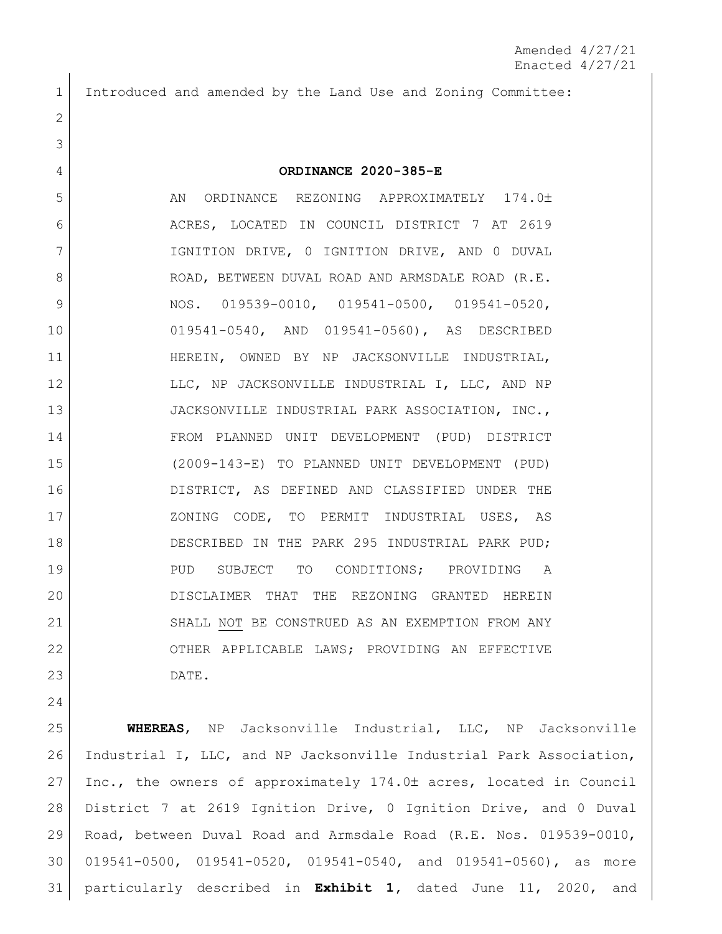Introduced and amended by the Land Use and Zoning Committee:

## **ORDINANCE 2020-385-E**

5 AN ORDINANCE REZONING APPROXIMATELY 174.0± 6 | ACRES, LOCATED IN COUNCIL DISTRICT 7 AT 2619 IGNITION DRIVE, 0 IGNITION DRIVE, AND 0 DUVAL 8 ROAD, BETWEEN DUVAL ROAD AND ARMSDALE ROAD (R.E. 9 NOS. 019539-0010, 019541-0500, 019541-0520, 019541-0540, AND 019541-0560), AS DESCRIBED HEREIN, OWNED BY NP JACKSONVILLE INDUSTRIAL, 12 LLC, NP JACKSONVILLE INDUSTRIAL I, LLC, AND NP JACKSONVILLE INDUSTRIAL PARK ASSOCIATION, INC., FROM PLANNED UNIT DEVELOPMENT (PUD) DISTRICT (2009-143-E) TO PLANNED UNIT DEVELOPMENT (PUD) DISTRICT, AS DEFINED AND CLASSIFIED UNDER THE 17 | XONING CODE, TO PERMIT INDUSTRIAL USES, AS DESCRIBED IN THE PARK 295 INDUSTRIAL PARK PUD; 19 PUD SUBJECT TO CONDITIONS; PROVIDING A DISCLAIMER THAT THE REZONING GRANTED HEREIN 21 SHALL NOT BE CONSTRUED AS AN EXEMPTION FROM ANY OTHER APPLICABLE LAWS; PROVIDING AN EFFECTIVE DATE.

 **WHEREAS**, NP Jacksonville Industrial, LLC, NP Jacksonville Industrial I, LLC, and NP Jacksonville Industrial Park Association, 27 Inc., the owners of approximately  $174.0<sup>±</sup>$  acres, located in Council District 7 at 2619 Ignition Drive, 0 Ignition Drive, and 0 Duval Road, between Duval Road and Armsdale Road (R.E. Nos. 019539-0010, 019541-0500, 019541-0520, 019541-0540, and 019541-0560), as more particularly described in **Exhibit 1,** dated June 11, 2020, and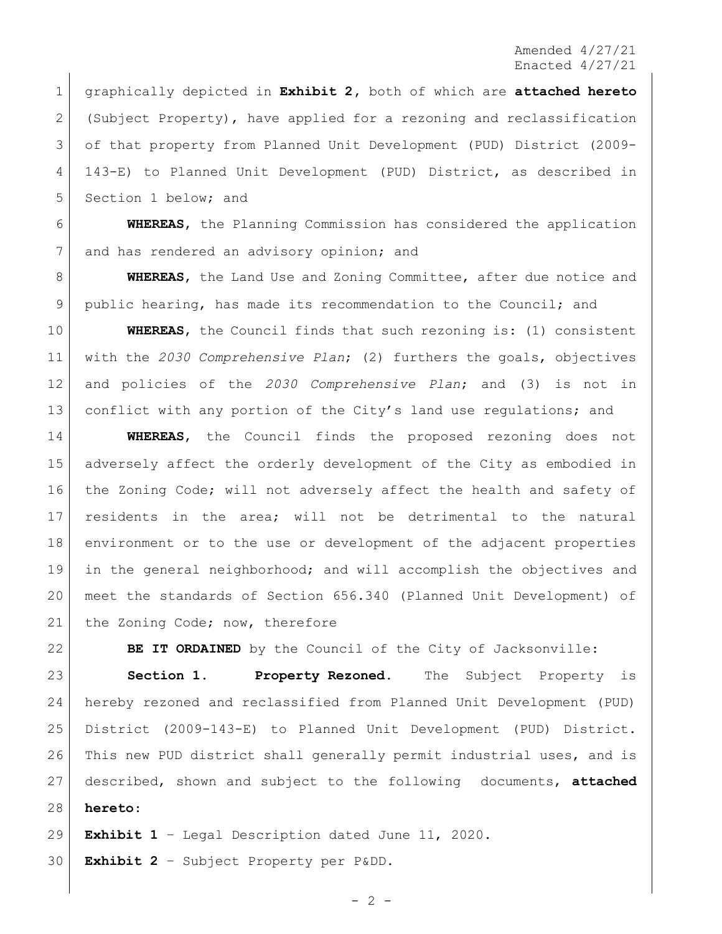graphically depicted in **Exhibit 2,** both of which are **attached hereto** (Subject Property), have applied for a rezoning and reclassification of that property from Planned Unit Development (PUD) District (2009- 143-E) to Planned Unit Development (PUD) District, as described in 5 Section 1 below; and

 **WHEREAS**, the Planning Commission has considered the application 7 and has rendered an advisory opinion; and

 **WHEREAS**, the Land Use and Zoning Committee, after due notice and public hearing, has made its recommendation to the Council; and

 **WHEREAS**, the Council finds that such rezoning is: (1) consistent with the *2030 Comprehensive Plan*; (2) furthers the goals, objectives and policies of the *2030 Comprehensive Plan*; and (3) is not in 13 conflict with any portion of the City's land use regulations; and

 **WHEREAS**, the Council finds the proposed rezoning does not adversely affect the orderly development of the City as embodied in the Zoning Code; will not adversely affect the health and safety of residents in the area; will not be detrimental to the natural environment or to the use or development of the adjacent properties in the general neighborhood; and will accomplish the objectives and meet the standards of Section 656.340 (Planned Unit Development) of 21 the Zoning Code; now, therefore

**BE IT ORDAINED** by the Council of the City of Jacksonville:

 **Section 1. Property Rezoned.** The Subject Property is hereby rezoned and reclassified from Planned Unit Development (PUD) District (2009-143-E) to Planned Unit Development (PUD) District. This new PUD district shall generally permit industrial uses, and is described, shown and subject to the following documents, **attached hereto**:

**Exhibit 1** – Legal Description dated June 11, 2020.

**Exhibit 2** – Subject Property per P&DD.

 $-2 -$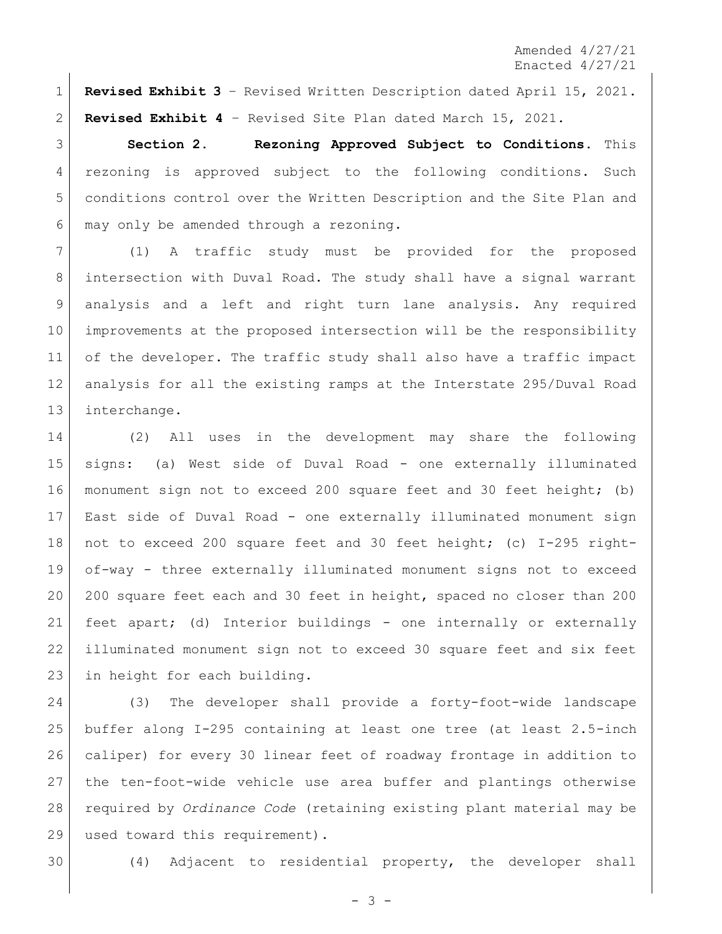**Revised Exhibit 3** – Revised Written Description dated April 15, 2021. **Revised Exhibit 4** – Revised Site Plan dated March 15, 2021.

 **Section 2. Rezoning Approved Subject to Conditions.** This rezoning is approved subject to the following conditions. Such conditions control over the Written Description and the Site Plan and may only be amended through a rezoning.

 (1) A traffic study must be provided for the proposed intersection with Duval Road. The study shall have a signal warrant analysis and a left and right turn lane analysis. Any required improvements at the proposed intersection will be the responsibility of the developer. The traffic study shall also have a traffic impact analysis for all the existing ramps at the Interstate 295/Duval Road interchange.

 (2) All uses in the development may share the following signs: (a) West side of Duval Road - one externally illuminated monument sign not to exceed 200 square feet and 30 feet height; (b) East side of Duval Road - one externally illuminated monument sign not to exceed 200 square feet and 30 feet height; (c) I-295 right- of-way - three externally illuminated monument signs not to exceed 20 200 square feet each and 30 feet in height, spaced no closer than 200 feet apart; (d) Interior buildings - one internally or externally illuminated monument sign not to exceed 30 square feet and six feet 23 in height for each building.

 (3) The developer shall provide a forty-foot-wide landscape buffer along I-295 containing at least one tree (at least 2.5-inch caliper) for every 30 linear feet of roadway frontage in addition to the ten-foot-wide vehicle use area buffer and plantings otherwise required by *Ordinance Code* (retaining existing plant material may be 29 used toward this requirement).

(4) Adjacent to residential property, the developer shall

- 3 -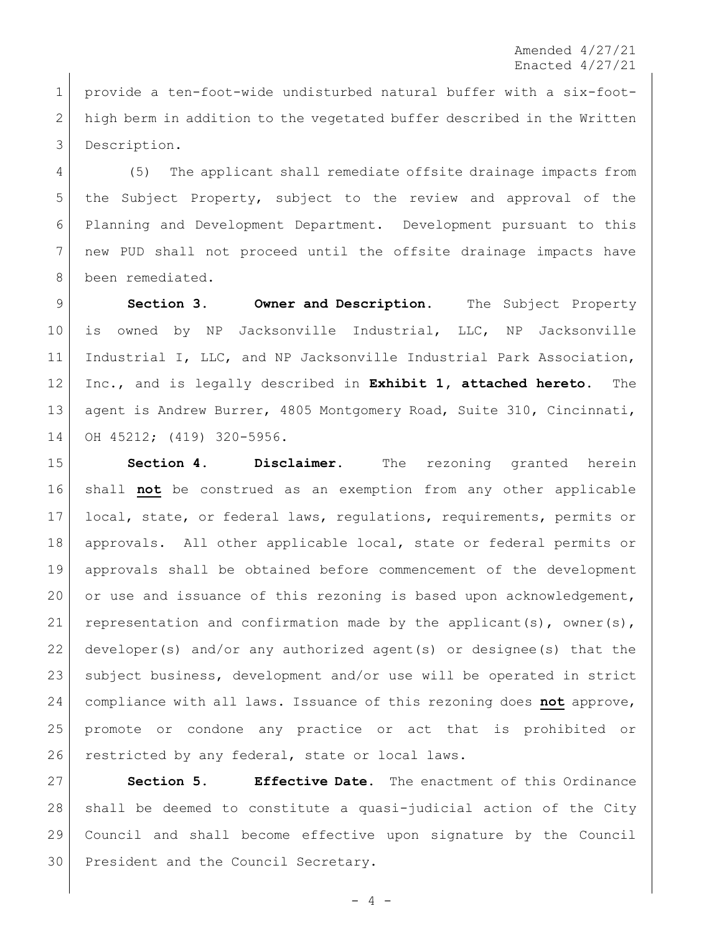provide a ten-foot-wide undisturbed natural buffer with a six-foot- high berm in addition to the vegetated buffer described in the Written Description.

 (5) The applicant shall remediate offsite drainage impacts from the Subject Property, subject to the review and approval of the Planning and Development Department. Development pursuant to this new PUD shall not proceed until the offsite drainage impacts have 8 been remediated.

 **Section 3. Owner and Description.** The Subject Property 10 is owned by NP Jacksonville Industrial, LLC, NP Jacksonville Industrial I, LLC, and NP Jacksonville Industrial Park Association, Inc., and is legally described in **Exhibit 1, attached hereto**. The 13 agent is Andrew Burrer, 4805 Montgomery Road, Suite 310, Cincinnati, OH 45212; (419) 320-5956.

 **Section 4. Disclaimer.** The rezoning granted herein shall **not** be construed as an exemption from any other applicable local, state, or federal laws, regulations, requirements, permits or approvals. All other applicable local, state or federal permits or approvals shall be obtained before commencement of the development 20 or use and issuance of this rezoning is based upon acknowledgement, 21 representation and confirmation made by the applicant(s), owner(s), developer(s) and/or any authorized agent(s) or designee(s) that the subject business, development and/or use will be operated in strict compliance with all laws. Issuance of this rezoning does **not** approve, promote or condone any practice or act that is prohibited or 26 restricted by any federal, state or local laws.

 **Section 5. Effective Date.** The enactment of this Ordinance shall be deemed to constitute a quasi-judicial action of the City Council and shall become effective upon signature by the Council 30 President and the Council Secretary.

 $- 4 -$